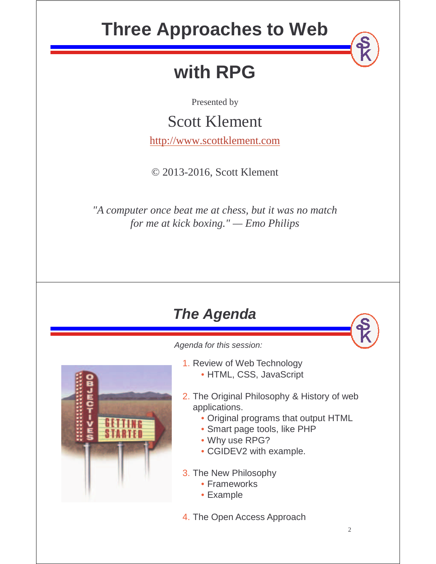# **Three Approaches to Web**

# **with RPG**

Presented by

### Scott Klement

http://www.scottklement.com

© 2013-2016, Scott Klement

*"A computer once beat me at chess, but it was no match for me at kick boxing." — Emo Philips*

### **The Agenda**

Agenda for this session:

- 
- 2. The Original Philosophy & History of web applications.
	- Original programs that output HTML
	- Smart page tools, like PHP
	- Why use RPG?

1. Review of Web Technology

• HTML, CSS, JavaScript

- CGIDEV2 with example.
- 3. The New Philosophy
	- Frameworks
	- Example
- 4. The Open Access Approach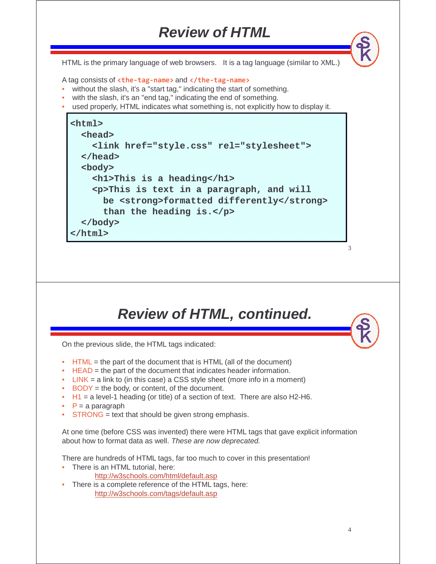### **Review of HTML**

HTML is the primary language of web browsers. It is a tag language (similar to XML.)

A tag consists of **<the-tag-name>** and **</the-tag-name>**

- without the slash, it's a "start tag," indicating the start of something.
- with the slash, it's an "end tag," indicating the end of something.
- used properly, HTML indicates what something is, not explicitly how to display it.



### **Review of HTML, continued.**

On the previous slide, the HTML tags indicated:

- $\bullet$  HTML = the part of the document that is HTML (all of the document)
- HEAD = the part of the document that indicates header information.
- LINK = a link to (in this case) a CSS style sheet (more info in a moment)
- BODY = the body, or content, of the document.
- $H1 = a$  level-1 heading (or title) of a section of text. There are also H2-H6.
- $P = a$  paragraph
- $STRONG = text$  that should be given strong emphasis.

At one time (before CSS was invented) there were HTML tags that gave explicit information about how to format data as well. These are now deprecated.

There are hundreds of HTML tags, far too much to cover in this presentation!

- There is an HTML tutorial, here:
	- http://w3schools.com/html/default.asp
- There is a complete reference of the HTML tags, here: http://w3schools.com/tags/default.asp

3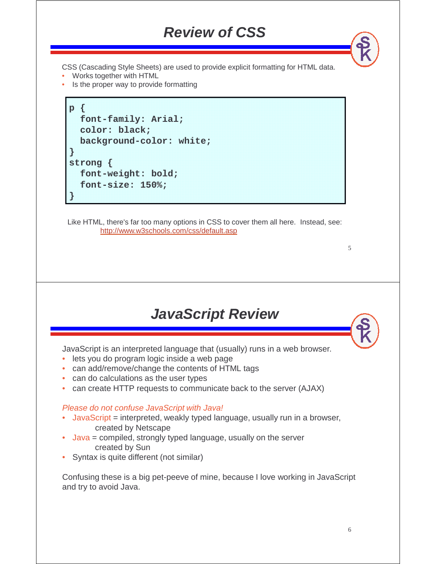#### **Review of CSS**

CSS (Cascading Style Sheets) are used to provide explicit formatting for HTML data.

- Works together with HTML
- Is the proper way to provide formatting

```
p {
  font-family: Arial;
  color: black;
  background-color: white;
}
strong {
  font-weight: bold;
  font-size: 150%;
}
```
Like HTML, there's far too many options in CSS to cover them all here. Instead, see: http://www.w3schools.com/css/default.asp

#### **JavaScript Review**

JavaScript is an interpreted language that (usually) runs in a web browser.

- lets you do program logic inside a web page
- can add/remove/change the contents of HTML tags
- can do calculations as the user types
- can create HTTP requests to communicate back to the server (AJAX)

#### Please do not confuse JavaScript with Java!

- JavaScript = interpreted, weakly typed language, usually run in a browser, created by Netscape
- Java = compiled, strongly typed language, usually on the server created by Sun
- Syntax is quite different (not similar)

Confusing these is a big pet-peeve of mine, because I love working in JavaScript and try to avoid Java.

5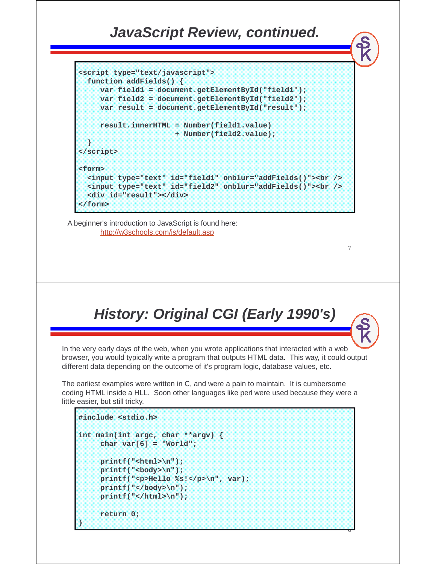#### **JavaScript Review, continued.**

```
<script type="text/javascript">
 function addFields() {
    var field1 = document.getElementById("field1");
    var field2 = document.getElementById("field2");
    var result = document.getElementById("result");
    result.innerHTML = Number(field1.value)
                     + Number(field2.value);
 }
</script>
<form>
 <input type="text" id="field1" onblur="addFields()"><br />
 <input type="text" id="field2" onblur="addFields()"><br />
 <div id="result"></div>
</form>
```
A beginner's introduction to JavaScript is found here: http://w3schools.com/js/default.asp

## **History: Original CGI (Early 1990's)**

7

 $\ddot{\phantom{0}}$ 

In the very early days of the web, when you wrote applications that interacted with a web browser, you would typically write a program that outputs HTML data. This way, it could output different data depending on the outcome of it's program logic, database values, etc.

The earliest examples were written in C, and were a pain to maintain. It is cumbersome coding HTML inside a HLL. Soon other languages like perl were used because they were a little easier, but still tricky.

```
#include <stdio.h>
int main(int argc, char **argv) {
    char var[6] = "World";
    printf("<html>\n");
    printf("<body>\n");
    printf("<p>Hello %s!</p>\n", var);
    printf("</body>\n");
    printf("</html>\n");
    return 0;
}
```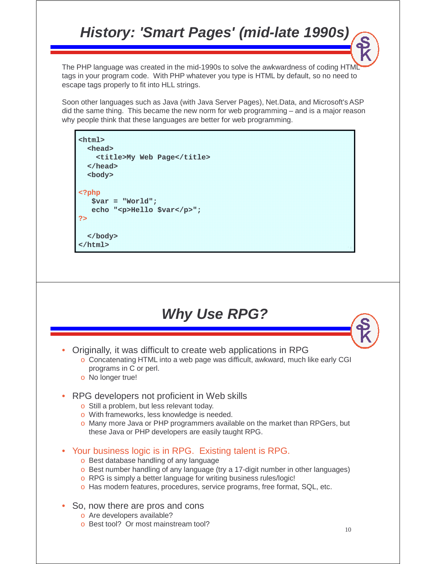### **History: 'Smart Pages' (mid-late 1990s)**

The PHP language was created in the mid-1990s to solve the awkwardness of coding HTML tags in your program code. With PHP whatever you type is HTML by default, so no need to escape tags properly to fit into HLL strings.

Soon other languages such as Java (with Java Server Pages), Net.Data, and Microsoft's ASP did the same thing. This became the new norm for web programming – and is a major reason why people think that these languages are better for web programming.

#### **<html> <head>**

**<title>My Web Page</title> </head> <body> <?php \$var = "World"; echo "<p>Hello \$var</p>"; ?> </body> </html>**

#### **Why Use RPG?**

• Originally, it was difficult to create web applications in RPG

o Concatenating HTML into a web page was difficult, awkward, much like early CGI programs in C or perl.

- o No longer true!
- RPG developers not proficient in Web skills
	- o Still a problem, but less relevant today.
	- o With frameworks, less knowledge is needed.
	- o Many more Java or PHP programmers available on the market than RPGers, but these Java or PHP developers are easily taught RPG.
- Your business logic is in RPG. Existing talent is RPG.
	- o Best database handling of any language
	- o Best number handling of any language (try a 17-digit number in other languages)
	- o RPG is simply a better language for writing business rules/logic!
	- o Has modern features, procedures, service programs, free format, SQL, etc.
- So, now there are pros and cons
	- o Are developers available?
	- o Best tool? Or most mainstream tool?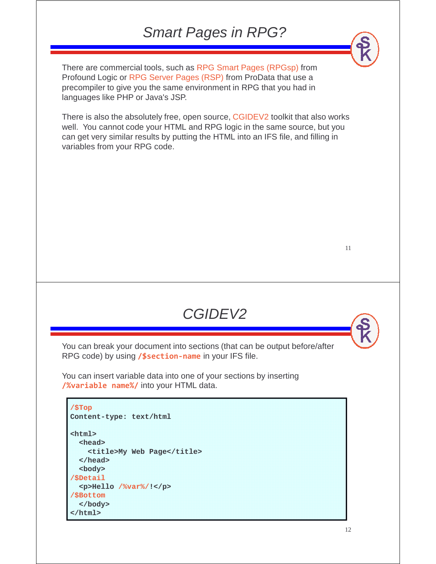#### Smart Pages in RPG?

There are commercial tools, such as RPG Smart Pages (RPGsp) from Profound Logic or RPG Server Pages (RSP) from ProData that use a precompiler to give you the same environment in RPG that you had in languages like PHP or Java's JSP.

There is also the absolutely free, open source, CGIDEV2 toolkit that also works well. You cannot code your HTML and RPG logic in the same source, but you can get very similar results by putting the HTML into an IFS file, and filling in variables from your RPG code.

11

You can break your document into sections (that can be output before/after

CGIDEV2

You can insert variable data into one of your sections by inserting **/%variable name%/** into your HTML data.

RPG code) by using **/\$section-name** in your IFS file.

```
/$Top
Content-type: text/html
<html>
  <head>
    <title>My Web Page</title>
  </head>
  <body>
/$Detail
  <p>Hello /%var%/!</p>
/$Bottom
  </body>
</html>
```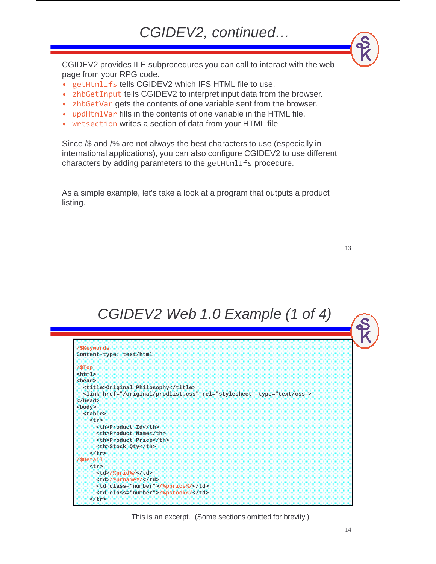#### CGIDEV2, continued…

CGIDEV2 provides ILE subprocedures you can call to interact with the web page from your RPG code.

- getHtmlIfs tells CGIDEV2 which IFS HTML file to use.
- zhbGetInput tells CGIDEV2 to interpret input data from the browser.
- zhbGetVar gets the contents of one variable sent from the browser.
- updHtmlVar fills in the contents of one variable in the HTML file.
- wrtsection writes a section of data from your HTML file

Since /\$ and /% are not always the best characters to use (especially in international applications), you can also configure CGIDEV2 to use different characters by adding parameters to the getHtmlIfs procedure.

As a simple example, let's take a look at a program that outputs a product listing.

13

#### CGIDEV2 Web 1.0 Example (1 of 4)

| /\$Keywords                                                            |               |  |
|------------------------------------------------------------------------|---------------|--|
| Content-type: text/html                                                |               |  |
| /STop                                                                  |               |  |
| <html></html>                                                          |               |  |
| <head></head>                                                          |               |  |
| <title>Original Philosophy</title>                                     |               |  |
| <link href="/original/prodlist.css" rel="stylesheet" type="text/css"/> |               |  |
| $\langle$ /head>                                                       |               |  |
| <body></body>                                                          |               |  |
| <table></table>                                                        |               |  |
| <tr></tr>                                                              |               |  |
|                                                                        |               |  |
| <th>Product Id</th>                                                    | Product Id    |  |
| <th>Product Name</th>                                                  | Product Name  |  |
| <th>Product Price</th>                                                 | Product Price |  |
| <th>Stock Qty</th>                                                     | Stock Qty     |  |
| $\lt/tr$                                                               |               |  |
| /SDetail                                                               |               |  |
| <tr></tr>                                                              |               |  |
|                                                                        |               |  |
| <td>/%prid%/</td>                                                      | /%prid%/      |  |
| <td>/%prname%/</td>                                                    | /%prname%/    |  |
| <td class="number">/%pprice%/</td>                                     | /%pprice%/    |  |
| <td class="number">/%pstock%/</td>                                     | /%pstock%/    |  |
| $\langle$ /tr>                                                         |               |  |

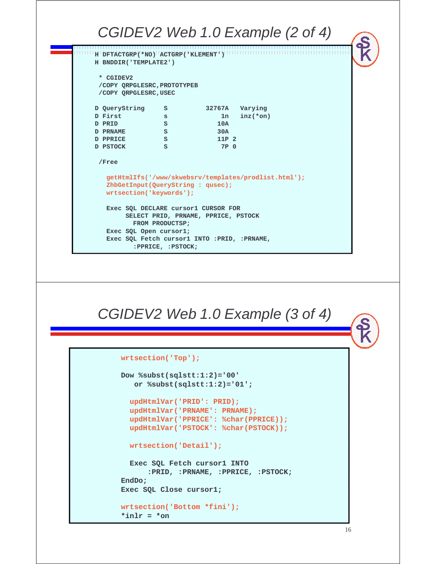



**wrtsection('Bottom \*fini'); \*inlr = \*on**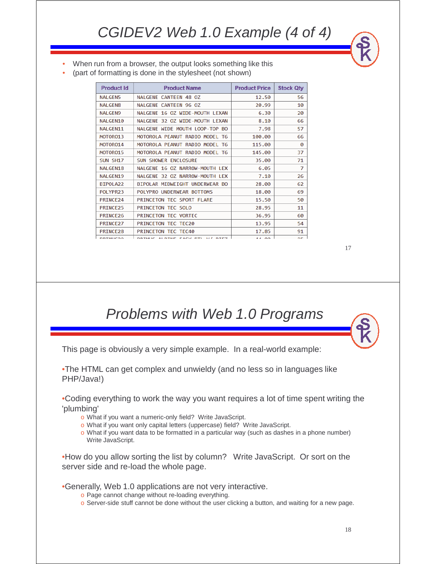- When run from a browser, the output looks something like this
- (part of formatting is done in the stylesheet (not shown)

| <b>Product Id</b>    | <b>Product Name</b>                             | <b>Product Price</b> | <b>Stock Qty</b> |
|----------------------|-------------------------------------------------|----------------------|------------------|
| <b>NALGEN5</b>       | <b>NALGENE CANTEEN 48 OZ</b>                    | 12.50                | 56               |
| <b>NALGEN8</b>       | NALGENE CANTEEN 96 OZ                           | 20.99                | 10               |
| <b>NALGEN9</b>       | NALGENE 16 OZ WIDE-MOUTH LEXAN                  | 6.30                 | 20               |
| <b>NALGEN10</b>      | NALGENE 32 OZ WIDE-MOUTH LEXAN                  | 8.10                 | 66               |
| NALGEN11             | NALGENE WIDE MOUTH LOOP-TOP BO                  | 7.98                 | 57               |
| MOTOR013             | MOTOROLA PEANUT RADIO MODEL T6                  | 100.00               | 66               |
| MOTOR014             | MOTOROLA PEANUT RADIO MODEL T6                  | 115.00               | 0                |
| MOTOR015             | MOTOROLA PEANUT RADIO MODEL T6                  | 145.00               | 37               |
| SUN SH17             | <b>SUN SHOWER ENCLOSURE</b>                     | 35.00                | 71               |
| NALGEN18             | NALGENE 16 OZ NARROW-MOUTH LEX                  | 6.05                 | 7                |
| <b>NALGEN19</b>      | NALGENE 32 OZ NARROW-MOUTH LEX                  | 7.10                 | 26               |
| BIPOLA22             | BIPOLAR MIDWEIGHT UNDERWEAR BO                  | 28.00                | 62               |
| POLYPR23             | POLYPRO UNDERWEAR BOTTOMS                       | 18.00                | 69               |
| PRINCE24             | PRINCETON TEC SPORT FLARE                       | 15.50                | 50               |
| PRINCE25             | PRINCETON TEC SOLO                              | 28.95                | 11               |
| PRINCE <sub>26</sub> | <b>PRINCETON TEC VORTEC</b>                     | 36.95                | 60               |
| PRINCE27             | PRINCETON TEC TEC20                             | 13.95                | 54               |
| PRINCE <sub>28</sub> | <b>PRINCETON TEC TEC40</b>                      | 17.85                | 91               |
| <b>DRIMIC30</b>      | $1.17$ DTF7<br>DOTMUC ALDTME<br><b>EACV DTL</b> | AA                   | nп               |

17

#### Problems with Web 1.0 Programs

This page is obviously a very simple example. In a real-world example:

•The HTML can get complex and unwieldy (and no less so in languages like PHP/Java!)

•Coding everything to work the way you want requires a lot of time spent writing the 'plumbing'

- o What if you want a numeric-only field? Write JavaScript.
- o What if you want only capital letters (uppercase) field? Write JavaScript.
- $\circ$  What if you want data to be formatted in a particular way (such as dashes in a phone number) Write JavaScript.

•How do you allow sorting the list by column? Write JavaScript. Or sort on the server side and re-load the whole page.

•Generally, Web 1.0 applications are not very interactive.

- o Page cannot change without re-loading everything.
- o Server-side stuff cannot be done without the user clicking a button, and waiting for a new page.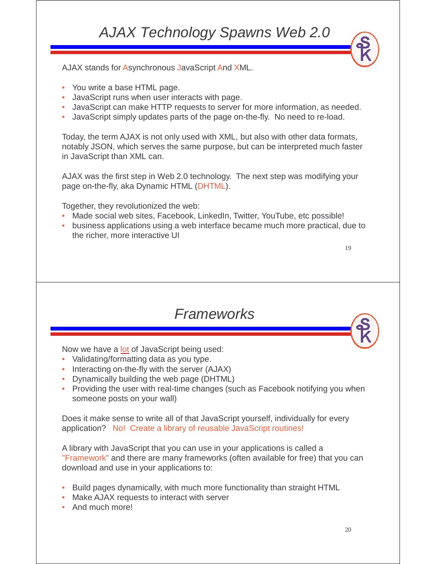### AJAX Technology Spawns Web 2.0

AJAX stands for Asynchronous JavaScript And XML.

- You write a base HTML page.
- JavaScript runs when user interacts with page.
- JavaScript can make HTTP requests to server for more information, as needed.
- JavaScript simply updates parts of the page on-the-fly. No need to re-load.

Today, the term AJAX is not only used with XML, but also with other data formats, notably JSON, which serves the same purpose, but can be interpreted much faster in JavaScript than XML can.

AJAX was the first step in Web 2.0 technology. The next step was modifying your page on-the-fly, aka Dynamic HTML (DHTML).

Together, they revolutionized the web:

- Made social web sites, Facebook, LinkedIn, Twitter, YouTube, etc possible!
- business applications using a web interface became much more practical, due to the richer, more interactive UI

19

#### Frameworks

Now we have a lot of JavaScript being used:

- Validating/formatting data as you type.
- Interacting on-the-fly with the server (AJAX)
- Dynamically building the web page (DHTML)
- Providing the user with real-time changes (such as Facebook notifying you when someone posts on your wall)

Does it make sense to write all of that JavaScript yourself, individually for every application? No! Create a library of reusable JavaScript routines!

A library with JavaScript that you can use in your applications is called a "Framework" and there are many frameworks (often available for free) that you can download and use in your applications to:

- Build pages dynamically, with much more functionality than straight HTML
- Make AJAX requests to interact with server
- And much more!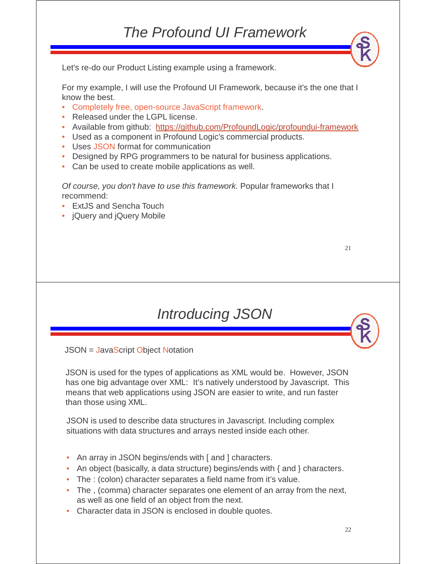#### The Profound UI Framework

Let's re-do our Product Listing example using a framework.

For my example, I will use the Profound UI Framework, because it's the one that I know the best.

- Completely free, open-source JavaScript framework.
- Released under the LGPL license.
- Available from github: https://github.com/ProfoundLogic/profoundui-framework
- Used as a component in Profound Logic's commercial products.
- Uses JSON format for communication
- Designed by RPG programmers to be natural for business applications.
- Can be used to create mobile applications as well.

Of course, you don't have to use this framework. Popular frameworks that I recommend:

- ExtJS and Sencha Touch
- jQuery and jQuery Mobile

21

#### Introducing JSON

JSON = JavaScript Object Notation

JSON is used for the types of applications as XML would be. However, JSON has one big advantage over XML: It's natively understood by Javascript. This means that web applications using JSON are easier to write, and run faster than those using XML.

JSON is used to describe data structures in Javascript. Including complex situations with data structures and arrays nested inside each other.

- An array in JSON begins/ends with [ and ] characters.
- An object (basically, a data structure) begins/ends with { and } characters.
- The : (colon) character separates a field name from it's value.
- The , (comma) character separates one element of an array from the next, as well as one field of an object from the next.
- Character data in JSON is enclosed in double quotes.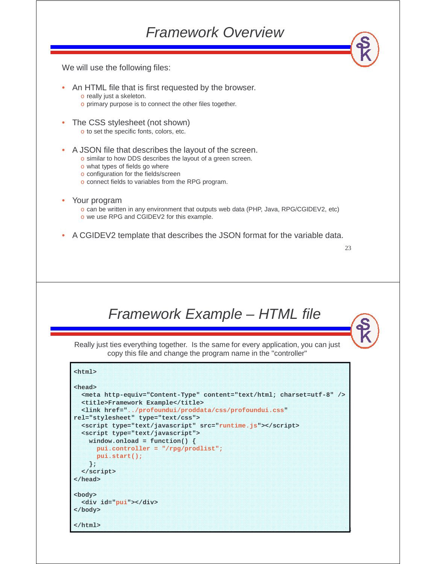We will use the following files:

- An HTML file that is first requested by the browser.
	- o really just a skeleton.
	- o primary purpose is to connect the other files together.
- The CSS stylesheet (not shown) o to set the specific fonts, colors, etc.
- A JSON file that describes the layout of the screen.
	- o similar to how DDS describes the layout of a green screen.
		- o what types of fields go where
	- o configuration for the fields/screen
	- o connect fields to variables from the RPG program.
- Your program
	- o can be written in any environment that outputs web data (PHP, Java, RPG/CGIDEV2, etc) o we use RPG and CGIDEV2 for this example.
- A CGIDEV2 template that describes the JSON format for the variable data.

```
23
```
Framework Example – HTML file

Really just ties everything together. Is the same for every application, you can just copy this file and change the program name in the "controller"

```
24
<html>
<head>
  <meta http-equiv="Content-Type" content="text/html; charset=utf-8" />
  <title>Framework Example</title>
 <link href="../profoundui/proddata/css/profoundui.css" 
rel="stylesheet" type="text/css">
  <script type="text/javascript" src="runtime.js"></script>
  <script type="text/javascript">
   window.onload = function() {
      pui.controller = "/rpg/prodlist";
     pui.start();
   };
  </script>
</head>
<body>
 <div id="pui"></div>
</body>
</html>
```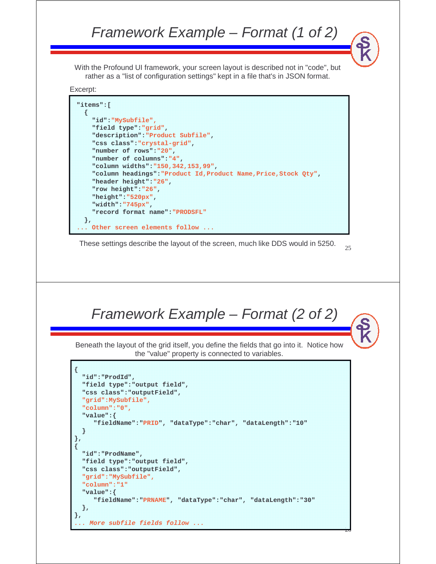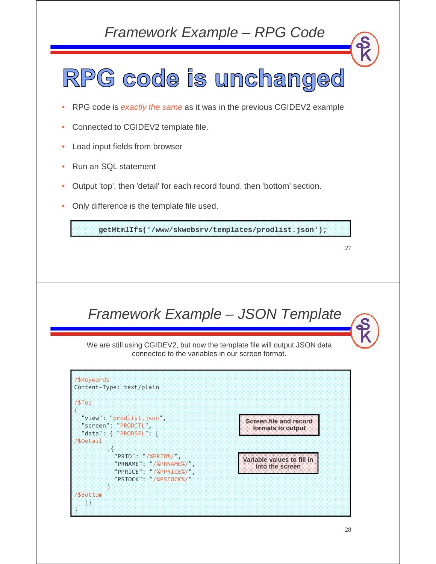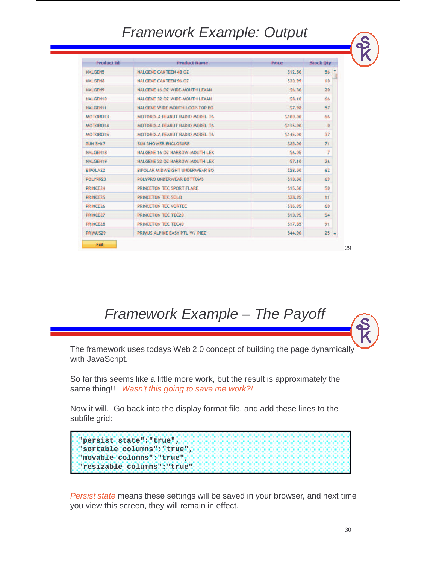#### Framework Example: Output

| <b>Product Id</b>    | <b>Product Name</b>                   | <b>Price</b> | <b>Stock Oty</b> |  |
|----------------------|---------------------------------------|--------------|------------------|--|
| <b>NALGEN5</b>       | <b>NALGENE CANTEEN 48 OZ</b>          | \$12.50      | 56               |  |
| <b>NALGENS</b>       | <b>NALGENE CANTEEN 96 OZ</b>          | \$20.99      | 10               |  |
| <b>NALGEN9</b>       | NALGENE 16 OZ WIDE-MOUTH LEXAN        | \$6.30       | 20               |  |
| <b>NALGEN10</b>      | NALGENE 32 OZ WIDE-MOUTH LEXAN        | \$8.10       | 66.              |  |
| <b>NALGEN11</b>      | NALGENE WIDE MOUTH LOOP-TOP BO        | 57.98        | 57               |  |
| MOTORO13             | MOTOROLA PEANUT RADIO MODEL T6        | \$100.00     | 66               |  |
| MOTOR014             | <b>MOTOROLA PEANUT RADIO MODEL T6</b> | \$115.00     | $\mathbf{0}$     |  |
| MOTOR015             | MOTOROLA PEANUT RADIO MODEL T6        | \$145.00     | 37               |  |
| SUN SH17             | <b>SUN SHOWER ENCLOSURE</b>           | \$35.00      | 71               |  |
| <b>NALGEN18</b>      | NALGENE 16 OZ NARROW-MOUTH LEX        | \$6.05       | $\overline{7}$   |  |
| <b>NALGEN19</b>      | NALGENE 32 OZ NARROW-MOUTH LEX        | 57.10        | 26               |  |
| <b>BIPOLA22</b>      | <b>BIPOLAR MIDWEIGHT UNDERWEAR BO</b> | 528.00       | 62               |  |
| POLYPR23             | POLYPRO UNDERWEAR BOTTOMS             | \$18.00      | 69               |  |
| PRINCE <sub>24</sub> | PRINCETON TEC SPORT FLARE             | \$15.50      | 50               |  |
| PRINCE <sub>25</sub> | PRINCETON TEC SOLO                    | \$28.95      | 11               |  |
| PRINCE <sub>26</sub> | PRINCETON TEC VORTEC                  | \$36.95      | 60               |  |
| PRINCE27             | <b>PRINCETON TEC TEC20</b>            | \$13.95      | 54               |  |
| PRINCE28             | PRINCETON TEC TEC40                   | \$17.85      | 91               |  |
| PRIMUS29             | PRIMUS ALPINE EASY PTL W/ PIEZ        | \$44.00      | 25               |  |

29

Framework Example – The Payoff

The framework uses todays Web 2.0 concept of building the page dynamically with JavaScript.

So far this seems like a little more work, but the result is approximately the same thing!! Wasn't this going to save me work?!

Now it will. Go back into the display format file, and add these lines to the subfile grid:

```
"persist state":"true",
"sortable columns":"true",
"movable columns":"true",
"resizable columns":"true"
```
Persist state means these settings will be saved in your browser, and next time you view this screen, they will remain in effect.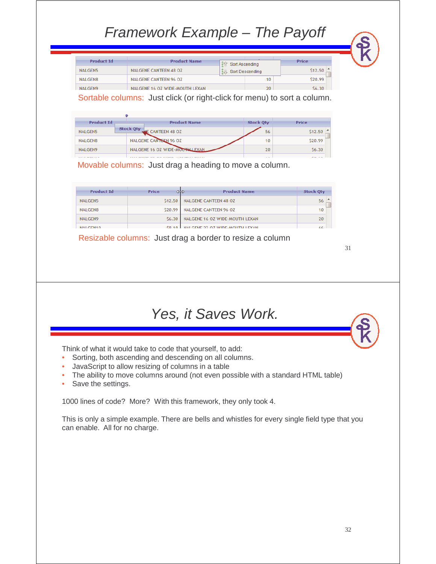### Framework Example – The Payoff

| <b>Product Id</b> | <b>Product Name</b>            | å | Sort Ascending  | Price   |
|-------------------|--------------------------------|---|-----------------|---------|
| NALGEN5           | NALGENE CANTEEN 48 OZ          |   | Sort Descending | \$12.50 |
| NALGEN8           | NALGENE CANTEEN 96 OZ          |   | 10              | \$20.99 |
| <b>NAI GEN9</b>   | NALGENE 16 07 WIDE-MOUTH LEXAN |   | 20 <sup>°</sup> | \$6.30  |

Sortable columns: Just click (or right-click for menu) to sort a column.

| <b>Product Id</b>   | <b>Product Name</b>                                                                    | <b>Stock Oty</b> | Price                |
|---------------------|----------------------------------------------------------------------------------------|------------------|----------------------|
| NALGEN5             | <b>Stock Qty</b><br><b>LE CANTEEN 48 OZ</b>                                            | 56               | \$12.50              |
| NALGEN8             | NALGENE CANTEEN 96 OZ                                                                  | 10               | \$20.99              |
| NALGEN9             | NALGENE 16 OZ WIDE-MOUTHLEXAN                                                          | 20               | 56.30                |
| <b>ARAB COMMAND</b> | A R.A. P. CO. LEWIS CO., MICH. AND A R.A. P. LEWIS CO., LANSING MICH. 49-14039-1-120-2 | $\sim$           | $\sim$ $\sim$ $\sim$ |

Movable columns: Just drag a heading to move a column.

| <b>Product Id</b> | Price   | <b>Product Name</b><br>œ       | <b>Stock Otv</b> |  |
|-------------------|---------|--------------------------------|------------------|--|
| NALGEN5           | \$12.50 | <b>NALGENE CANTEEN 48 OZ</b>   | 56               |  |
| NALGEN8           | \$20.99 | <b>NALGENE CANTEEN 96 OZ</b>   | 10               |  |
| NALGEN9           | \$6.30  | NALGENE 16 OZ WIDE-MOUTH LEXAN | 20               |  |
| <b>MALGEMIA</b>   | CO 10   | NALGENE 32 07 WIDE MOUTH LEYAN |                  |  |

Resizable columns: Just drag a border to resize a column

31

#### Yes, it Saves Work.

Think of what it would take to code that yourself, to add:

- Sorting, both ascending and descending on all columns.
- JavaScript to allow resizing of columns in a table
- The ability to move columns around (not even possible with a standard HTML table)
- Save the settings.

1000 lines of code? More? With this framework, they only took 4.

This is only a simple example. There are bells and whistles for every single field type that you can enable. All for no charge.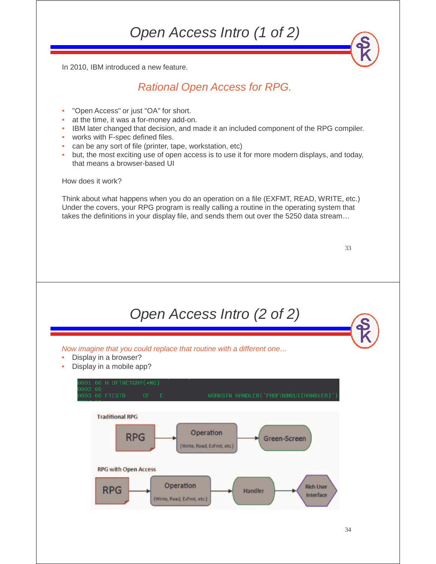Open Access Intro (1 of 2)

In 2010, IBM introduced a new feature.

#### Rational Open Access for RPG.

- "Open Access" or just "OA" for short.
- at the time, it was a for-money add-on.
- IBM later changed that decision, and made it an included component of the RPG compiler.
- works with F-spec defined files.
- can be any sort of file (printer, tape, workstation, etc)
- but, the most exciting use of open access is to use it for more modern displays, and today, that means a browser-based UI

How does it work?

Think about what happens when you do an operation on a file (EXFMT, READ, WRITE, etc.) Under the covers, your RPG program is really calling a routine in the operating system that takes the definitions in your display file, and sends them out over the 5250 data stream…

| ٠<br>٠       | ٠<br>٠             |
|--------------|--------------------|
| ۹<br>×<br>۰. | ۰,<br>۹<br>×<br>۰. |
|              |                    |

| Open Access Intro (2 of 2)                                                                                                                     |  |
|------------------------------------------------------------------------------------------------------------------------------------------------|--|
| Now imagine that you could replace that routine with a different one<br>Display in a browser?<br>۰<br>Display in a mobile app?<br>$\bullet$    |  |
| 0001.00 H DFTACTGRP(*NO)<br>9002.00<br>WORKSTN HANDLER('PROFOUNDUI(HANDLER)')<br>0003.00 FTESTD<br>$CF$ $E$                                    |  |
| <b>Traditional RPG</b><br>Operation<br><b>RPG</b><br>Green-Screen<br>(Write, Read, ExFmt, etc.)                                                |  |
| <b>RPG with Open Access</b><br>Operation<br><b>Rich User</b><br><b>RPG</b><br><b>Handler</b><br><b>Interface</b><br>(Write, Read, ExFmt, etc.) |  |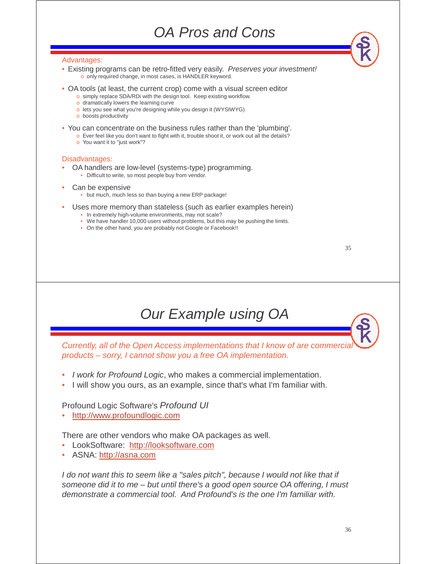#### OA Pros and Cons

#### Advantages:

- Existing programs can be retro-fitted very easily. Preserves your investment! o only required change, in most cases, is HANDLER keyword.
- OA tools (at least, the current crop) come with a visual screen editor
	- o simply replace SDA/RDi with the design tool. Keep existing workflow.
	- o dramatically lowers the learning curve
	- o lets you see what you're designing while you design it (WYSIWYG)
	- o boosts productivity
- You can concentrate on the business rules rather than the 'plumbing'.
	- o Ever feel like you don't want to fight with it, trouble shoot it, or work out all the details?
	- o You want it to "just work"?

#### Disadvantages:

- OA handlers are low-level (systems-type) programming.
	- Difficult to write, so most people buy from vendor.
- Can be expensive
	- but much, much less so than buying a new ERP package!
- Uses more memory than stateless (such as earlier examples herein)
	- In extremely high-volume environments, may not scale?
	- We have handler 10,000 users without problems, but this may be pushing the limits.
	- On the other hand, you are probably not Google or Facebook!!

| ٠<br>٠      | n e s             |
|-------------|-------------------|
| ۹<br>$\sim$ | I<br>۰.<br>$\sim$ |

#### Our Example using OA

Currently, all of the Open Access implementations that I know of are commercial products – sorry, I cannot show you a free OA implementation.

- I work for Profound Logic, who makes a commercial implementation.
- I will show you ours, as an example, since that's what I'm familiar with.

#### Profound Logic Software's Profound UI

• http://www.profoundlogic.com

There are other vendors who make OA packages as well.

- LookSoftware: http://looksoftware.com
- ASNA: http://asna.com

I do not want this to seem like a "sales pitch", because I would not like that if someone did it to me – but until there's a good open source OA offering, I must demonstrate a commercial tool. And Profound's is the one I'm familiar with.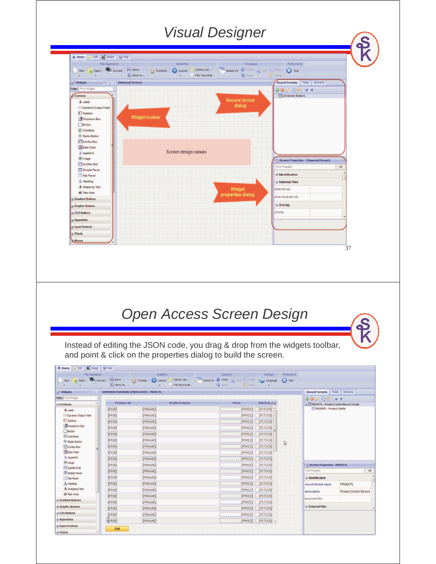### Visual Designer



[PPRICE] [PSTOCK] -

**Hyperlinks** 

**El Charts** 

**Input Controls** 

**EPRID** 

Exit

[PRNAME]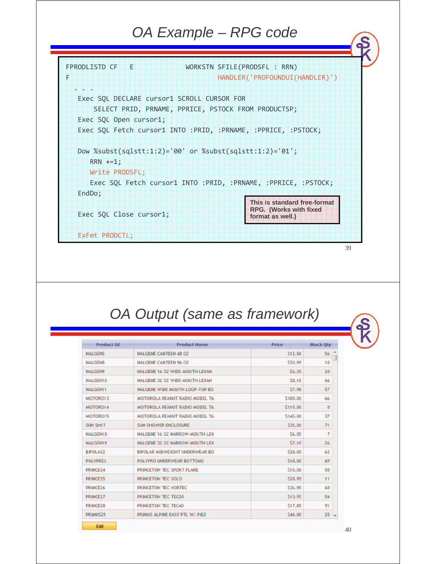#### OA Example – RPG code



#### OA Output (same as framework)

| <b>Product Id</b>                              | <b>Product Name</b>                   | <b>Price</b> | <b>Stock Qty</b> |
|------------------------------------------------|---------------------------------------|--------------|------------------|
| <b>NALGEN5</b>                                 | <b>NALGENE CANTEEN 48 OZ</b>          | \$12.50      | 56               |
| <b>NALGEN8</b><br><b>NALGENE CANTEEN 96 OZ</b> |                                       | \$20.99      | 10               |
| <b>NALGEN9</b>                                 | NALGENE 16 07 WIDE-MOUTH LEXAN        | \$6.30       | 20               |
| NALGEN10                                       | NALGENE 32 OZ WIDE-MOUTH LEXAN        | \$8.10       | 66               |
| <b>NALGEN11</b>                                | NALGENE WIDE MOUTH LOOP-TOP BO        | 57.98        | 57               |
| MOTOR013                                       | MOTOROLA PEANUT RADIO MODEL T6        | \$100.00     | 66               |
| MOTOR014                                       | <b>MOTOROLA PEANUT RADIO MODEL T6</b> | \$115.00     | $\Omega$         |
| MOTORO15                                       | MOTOROLA PEANUT RADIO MODEL T6        | \$145.00     | 37               |
| SUN SH17                                       | <b>SUN SHOWER ENCLOSURE</b>           | \$35.00      | 71               |
| <b>NALGEN18</b>                                | NALGENE 16 OZ NARROW-MOUTH LEX        | \$6.05       | $\overline{7}$   |
| <b>NALGEN19</b>                                | <b>NALGENE 32 OZ NARROW-MOUTH LEX</b> | \$7.10       | 26               |
| <b>BIPOLA22</b>                                | <b>BIPOLAR MIDWEIGHT UNDERWEAR BO</b> | \$28.00      | 62               |
| POLYPR23                                       | POLYPRO UNDERWEAR BOTTOMS             | \$18.00      | 69               |
| PRINCE <sub>24</sub>                           | PRINCETON TEC SPORT FLARE             | \$15.50      | 50               |
| PRINCE <sub>25</sub>                           | PRINCETON TEC SOLO                    | \$28.95      | 11               |
| PRINCE <sub>26</sub>                           | PRINCETON TEC VORTEC                  | \$36.95      | 60               |
| PRINCE27                                       | PRINCETON TEC TEC20                   | \$13.95      | 54               |
| PRINCE28                                       | PRINCETON TEC TEC40                   | \$17.85      | 91               |
| PRIMUS29                                       | PRIMUS ALPINE EASY PTL W/ PIEZ        | \$44.00      | 25 <sub>2</sub>  |